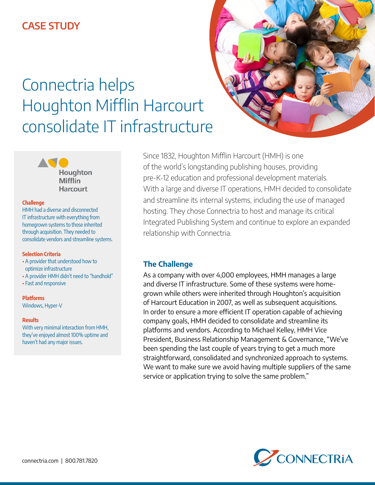# Connectria helps Houghton Mifflin Harcourt consolidate IT infrastructure



#### **Challenge**

HMH had a diverse and disconnected IT infrastructure with everything from homegrown systems to those inherited through acquisition. They needed to consolidate vendors and streamline systems.

#### **Selection Criteria**

- A provider that understood how to optimize infrastructure
- A provider HMH didn't need to "handhold"
- Fast and responsive

## **Platforms**

Windows, Hyper-V

#### **Results**

With very minimal interaction from HMH, they've enjoyed almost 100% uptime and haven't had any major issues.

Since 1832, Houghton Mifflin Harcourt (HMH) is one of the world's longstanding publishing houses, providing pre-K-12 education and professional development materials. With a large and diverse IT operations, HMH decided to consolidate and streamline its internal systems, including the use of managed hosting. They chose Connectria to host and manage its critical Integrated Publishing System and continue to explore an expanded relationship with Connectria.

## **The Challenge**

As a company with over 4,000 employees, HMH manages a large and diverse IT infrastructure. Some of these systems were homegrown while others were inherited through Houghton's acquisition of Harcourt Education in 2007, as well as subsequent acquisitions. In order to ensure a more efficient IT operation capable of achieving company goals, HMH decided to consolidate and streamline its platforms and vendors. According to Michael Kelley, HMH Vice President, Business Relationship Management & Governance, "We've been spending the last couple of years trying to get a much more straightforward, consolidated and synchronized approach to systems. We want to make sure we avoid having multiple suppliers of the same service or application trying to solve the same problem."

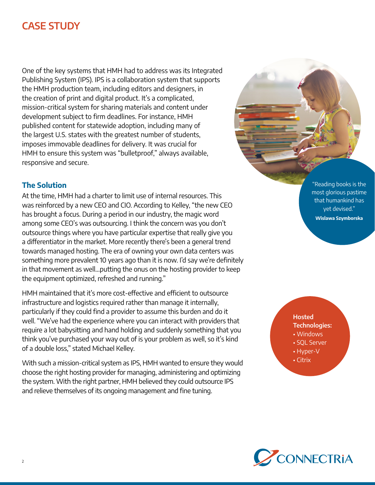One of the key systems that HMH had to address was its Integrated Publishing System (IPS). IPS is a collaboration system that supports the HMH production team, including editors and designers, in the creation of print and digital product. It's a complicated, mission-critical system for sharing materials and content under development subject to firm deadlines. For instance, HMH published content for statewide adoption, including many of the largest U.S. states with the greatest number of students, imposes immovable deadlines for delivery. It was crucial for HMH to ensure this system was "bulletproof," always available, responsive and secure.

## **The Solution**

At the time, HMH had a charter to limit use of internal resources. This was reinforced by a new CEO and CIO. According to Kelley, "the new CEO has brought a focus. During a period in our industry, the magic word among some CEO's was outsourcing. I think the concern was you don't outsource things where you have particular expertise that really give you a differentiator in the market. More recently there's been a general trend towards managed hosting. The era of owning your own data centers was something more prevalent 10 years ago than it is now. I'd say we're definitely in that movement as well…putting the onus on the hosting provider to keep the equipment optimized, refreshed and running."

HMH maintained that it's more cost-effective and efficient to outsource infrastructure and logistics required rather than manage it internally, particularly if they could find a provider to assume this burden and do it well. "We've had the experience where you can interact with providers that require a lot babysitting and hand holding and suddenly something that you think you've purchased your way out of is your problem as well, so it's kind of a double loss," stated Michael Kelley.

With such a mission-critical system as IPS, HMH wanted to ensure they would choose the right hosting provider for managing, administering and optimizing the system. With the right partner, HMH believed they could outsource IPS and relieve themselves of its ongoing management and fine tuning.

"Reading books is the most glorious pastime that humankind has yet devised." **Wislawa Szymborska**

## **Hosted Technologies:** • Windows

- SQL Server
- Hyper-V
- Citrix

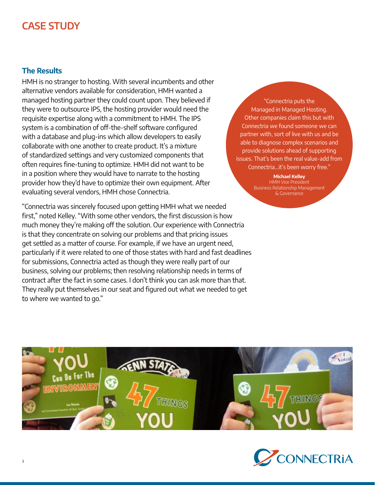## **The Results**

HMH is no stranger to hosting. With several incumbents and other alternative vendors available for consideration, HMH wanted a managed hosting partner they could count upon. They believed if they were to outsource IPS, the hosting provider would need the requisite expertise along with a commitment to HMH. The IPS system is a combination of off-the-shelf software configured with a database and plug-ins which allow developers to easily collaborate with one another to create product. It's a mixture of standardized settings and very customized components that often requires fine-tuning to optimize. HMH did not want to be in a position where they would have to narrate to the hosting provider how they'd have to optimize their own equipment. After evaluating several vendors, HMH chose Connectria.

"Connectria was sincerely focused upon getting HMH what we needed first," noted Kelley. "With some other vendors, the first discussion is how much money they're making off the solution. Our experience with Connectria is that they concentrate on solving our problems and that pricing issues get settled as a matter of course. For example, if we have an urgent need, particularly if it were related to one of those states with hard and fast deadlines for submissions, Connectria acted as though they were really part of our business, solving our problems; then resolving relationship needs in terms of contract after the fact in some cases. I don't think you can ask more than that. They really put themselves in our seat and figured out what we needed to get to where we wanted to go."

"Connectria puts the Managed in Managed Hosting. Other companies claim this but with Connectria we found someone we can partner with, sort of live with us and be able to diagnose complex scenarios and provide solutions ahead of supporting issues. That's been the real value-add from Connectria...it's been worry free."

> **Michael Kelley** HMH Vice President Business Relationship Management & Governance